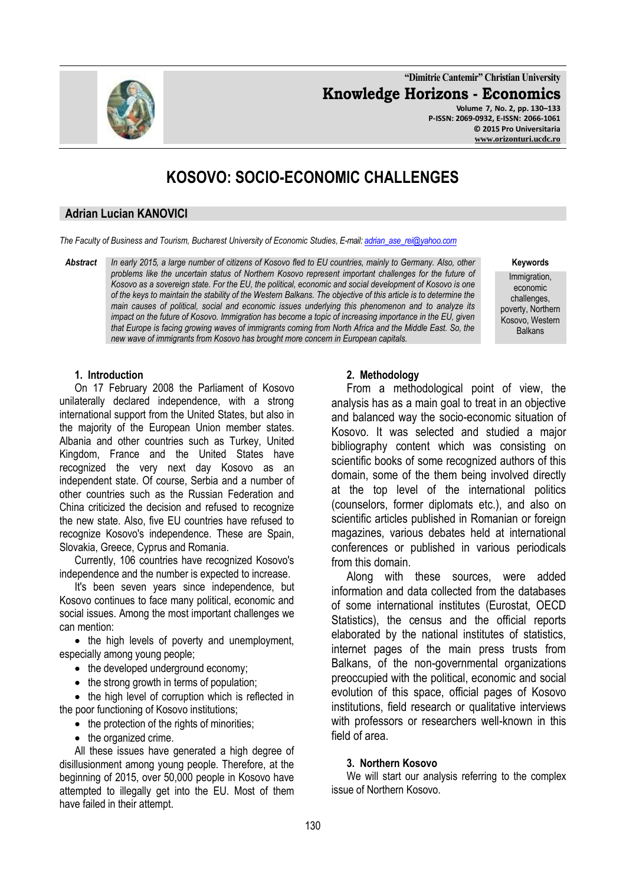**"Dimitrie Cantemir" Christian University Knowledge Horizons - Economics Volume 7, No. 2, pp. 130–133 P-ISSN: 2069-0932, E-ISSN: 2066-1061 © 2015 Pro Universitaria**

**[www.orizonturi.ucdc.ro](http://www.orizonturi.ucdc.ro/)**

# **KOSOVO: SOCIO-ECONOMIC CHALLENGES**

## **Adrian Lucian KANOVICI**

*The Faculty of Business and Tourism, Bucharest University of Economic Studies, E-mail[: adrian\\_ase\\_rei@yahoo.com](mailto:adrian_ase_rei@yahoo.com)*

*Abstract In early 2015, a large number of citizens of Kosovo fled to EU countries, mainly to Germany. Also, other problems like the uncertain status of Northern Kosovo represent important challenges for the future of Kosovo as a sovereign state. For the EU, the political, economic and social development of Kosovo is one of the keys to maintain the stability of the Western Balkans. The objective of this article is to determine the main causes of political, social and economic issues underlying this phenomenon and to analyze its impact on the future of Kosovo. Immigration has become a topic of increasing importance in the EU, given that Europe is facing growing waves of immigrants coming from North Africa and the Middle East. So, the new wave of immigrants from Kosovo has brought more concern in European capitals.*

**Keywords**

Immigration, economic challenges, poverty, Northern Kosovo, Western Balkans

#### **1. Introduction**

On 17 February 2008 the Parliament of Kosovo unilaterally declared independence, with a strong international support from the United States, but also in the majority of the European Union member states. Albania and other countries such as Turkey, United Kingdom, France and the United States have recognized the very next day Kosovo as an independent state. Of course, Serbia and a number of other countries such as the Russian Federation and China criticized the decision and refused to recognize the new state. Also, five EU countries have refused to recognize Kosovo's independence. These are Spain, Slovakia, Greece, Cyprus and Romania.

Currently, 106 countries have recognized Kosovo's independence and the number is expected to increase.

It's been seven years since independence, but Kosovo continues to face many political, economic and social issues. Among the most important challenges we can mention:

• the high levels of poverty and unemployment, especially among young people;

- the developed underground economy;
- the strong growth in terms of population;

• the high level of corruption which is reflected in the poor functioning of Kosovo institutions;

- $\bullet$  the protection of the rights of minorities;
- the organized crime.

All these issues have generated a high degree of disillusionment among young people. Therefore, at the beginning of 2015, over 50,000 people in Kosovo have attempted to illegally get into the EU. Most of them have failed in their attempt.

# **2. Methodology**

From a methodological point of view, the analysis has as a main goal to treat in an objective and balanced way the socio-economic situation of Kosovo. It was selected and studied a major bibliography content which was consisting on scientific books of some recognized authors of this domain, some of the them being involved directly at the top level of the international politics (counselors, former diplomats etc.), and also on scientific articles published in Romanian or foreign magazines, various debates held at international conferences or published in various periodicals from this domain.

Along with these sources, were added information and data collected from the databases of some international institutes (Eurostat, OECD Statistics), the census and the official reports elaborated by the national institutes of statistics, internet pages of the main press trusts from Balkans, of the non-governmental organizations preoccupied with the political, economic and social evolution of this space, official pages of Kosovo institutions, field research or qualitative interviews with professors or researchers well-known in this field of area.

# **3. Northern Kosovo**

We will start our analysis referring to the complex issue of Northern Kosovo.



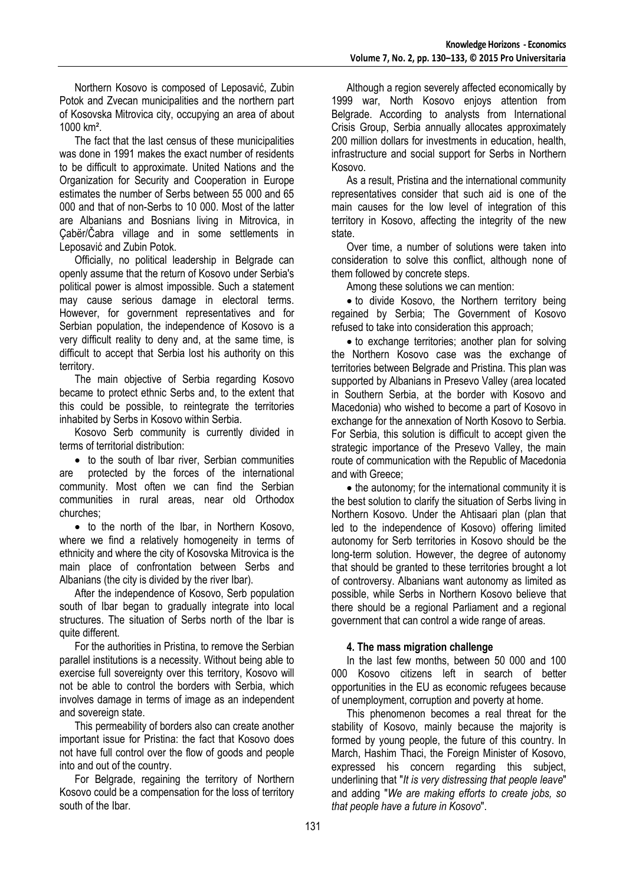Northern Kosovo is composed of Leposavić, Zubin Potok and Zvecan municipalities and the northern part of Kosovska Mitrovica city, occupying an area of about 1000 km².

The fact that the last census of these municipalities was done in 1991 makes the exact number of residents to be difficult to approximate. United Nations and the Organization for Security and Cooperation in Europe estimates the number of Serbs between 55 000 and 65 000 and that of non-Serbs to 10 000. Most of the latter are Albanians and Bosnians living in Mitrovica, in Çabër/Čabra village and in some settlements in Leposavić and Zubin Potok.

Officially, no political leadership in Belgrade can openly assume that the return of Kosovo under Serbia's political power is almost impossible. Such a statement may cause serious damage in electoral terms. However, for government representatives and for Serbian population, the independence of Kosovo is a very difficult reality to deny and, at the same time, is difficult to accept that Serbia lost his authority on this territory.

The main objective of Serbia regarding Kosovo became to protect ethnic Serbs and, to the extent that this could be possible, to reintegrate the territories inhabited by Serbs in Kosovo within Serbia.

Kosovo Serb community is currently divided in terms of territorial distribution:

• to the south of Ibar river, Serbian communities are protected by the forces of the international community. Most often we can find the Serbian communities in rural areas, near old Orthodox churches;

• to the north of the Ibar, in Northern Kosovo, where we find a relatively homogeneity in terms of ethnicity and where the city of Kosovska Mitrovica is the main place of confrontation between Serbs and Albanians (the city is divided by the river Ibar).

After the independence of Kosovo, Serb population south of Ibar began to gradually integrate into local structures. The situation of Serbs north of the Ibar is quite different.

For the authorities in Pristina, to remove the Serbian parallel institutions is a necessity. Without being able to exercise full sovereignty over this territory, Kosovo will not be able to control the borders with Serbia, which involves damage in terms of image as an independent and sovereign state.

This permeability of borders also can create another important issue for Pristina: the fact that Kosovo does not have full control over the flow of goods and people into and out of the country.

For Belgrade, regaining the territory of Northern Kosovo could be a compensation for the loss of territory south of the Ibar.

Although a region severely affected economically by 1999 war, North Kosovo enjoys attention from Belgrade. According to analysts from International Crisis Group, Serbia annually allocates approximately 200 million dollars for investments in education, health, infrastructure and social support for Serbs in Northern Kosovo.

As a result, Pristina and the international community representatives consider that such aid is one of the main causes for the low level of integration of this territory in Kosovo, affecting the integrity of the new state.

Over time, a number of solutions were taken into consideration to solve this conflict, although none of them followed by concrete steps.

Among these solutions we can mention:

• to divide Kosovo, the Northern territory being regained by Serbia; The Government of Kosovo refused to take into consideration this approach;

• to exchange territories; another plan for solving the Northern Kosovo case was the exchange of territories between Belgrade and Pristina. This plan was supported by Albanians in Presevo Valley (area located in Southern Serbia, at the border with Kosovo and Macedonia) who wished to become a part of Kosovo in exchange for the annexation of North Kosovo to Serbia. For Serbia, this solution is difficult to accept given the strategic importance of the Presevo Valley, the main route of communication with the Republic of Macedonia and with Greece;

• the autonomy; for the international community it is the best solution to clarify the situation of Serbs living in Northern Kosovo. Under the Ahtisaari plan (plan that led to the independence of Kosovo) offering limited autonomy for Serb territories in Kosovo should be the long-term solution. However, the degree of autonomy that should be granted to these territories brought a lot of controversy. Albanians want autonomy as limited as possible, while Serbs in Northern Kosovo believe that there should be a regional Parliament and a regional government that can control a wide range of areas.

# **4. The mass migration challenge**

In the last few months, between 50 000 and 100 000 Kosovo citizens left in search of better opportunities in the EU as economic refugees because of unemployment, corruption and poverty at home.

This phenomenon becomes a real threat for the stability of Kosovo, mainly because the majority is formed by young people, the future of this country. In March, Hashim Thaci, the Foreign Minister of Kosovo, expressed his concern regarding this subject, underlining that "*It is very distressing that people leave*" and adding "*We are making efforts to create jobs, so that people have a future in Kosovo*".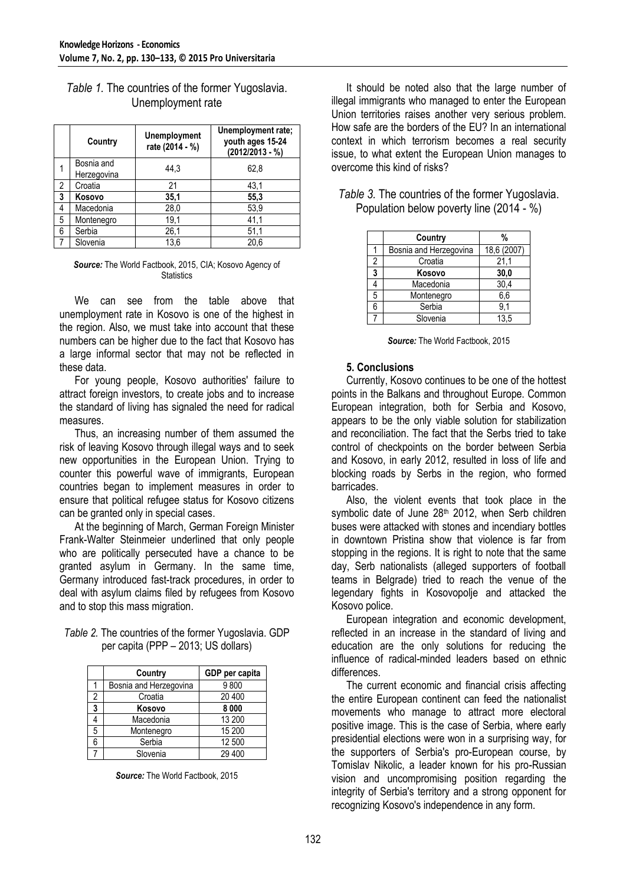|                | Country                   | <b>Unemployment</b><br>rate (2014 - %) | Unemployment rate;<br>youth ages 15-24<br>$(2012/2013 - %)$ |
|----------------|---------------------------|----------------------------------------|-------------------------------------------------------------|
| 1              | Bosnia and<br>Herzegovina | 44.3                                   | 62.8                                                        |
| $\overline{2}$ | Croatia                   | 21                                     | 43,1                                                        |
| 3              | Kosovo                    | 35,1                                   | 55,3                                                        |
| 4              | Macedonia                 | 28,0                                   | 53,9                                                        |
| 5              | Montenegro                | 19,1                                   | 41,1                                                        |
| 6              | Serbia                    | 26,1                                   | 51,1                                                        |
|                | Slovenia                  | 13,6                                   | 20,6                                                        |

# *Table 1.* The countries of the former Yugoslavia. Unemployment rate

#### *Source:* The World Factbook, 2015, CIA; Kosovo Agency of **Statistics**

We can see from the table above that unemployment rate in Kosovo is one of the highest in the region. Also, we must take into account that these numbers can be higher due to the fact that Kosovo has a large informal sector that may not be reflected in these data.

For young people, Kosovo authorities' failure to attract foreign investors, to create jobs and to increase the standard of living has signaled the need for radical measures.

Thus, an increasing number of them assumed the risk of leaving Kosovo through illegal ways and to seek new opportunities in the European Union. Trying to counter this powerful wave of immigrants, European countries began to implement measures in order to ensure that political refugee status for Kosovo citizens can be granted only in special cases.

At the beginning of March, German Foreign Minister Frank-Walter Steinmeier underlined that only people who are politically persecuted have a chance to be granted asylum in Germany. In the same time, Germany introduced fast-track procedures, in order to deal with asylum claims filed by refugees from Kosovo and to stop this mass migration.

*Table 2.* The countries of the former Yugoslavia. GDP per capita (PPP – 2013; US dollars)

|   | Country                | GDP per capita |  |
|---|------------------------|----------------|--|
|   | Bosnia and Herzegovina | 9800           |  |
| 2 | Croatia                | 20 400         |  |
| 3 | Kosovo                 | 8 0 0 0        |  |
|   | Macedonia              | 13 200         |  |
| 5 | Montenegro             | 15 200         |  |
| 6 | Serbia                 | 12 500         |  |
|   | Slovenia               | 29 400         |  |

*Source:* The World Factbook, 2015

It should be noted also that the large number of illegal immigrants who managed to enter the European Union territories raises another very serious problem. How safe are the borders of the EU? In an international context in which terrorism becomes a real security issue, to what extent the European Union manages to overcome this kind of risks?

|   | Country                | %           |
|---|------------------------|-------------|
|   | Bosnia and Herzegovina | 18,6 (2007) |
| 2 | Croatia                | 21,1        |
| 3 | Kosovo                 | 30,0        |
|   | Macedonia              | 30,4        |
| 5 | Montenegro             | 6,6         |
| 6 | Serbia                 | 9,1         |
|   | Slovenia               | 13,5        |

## *Table 3.* The countries of the former Yugoslavia. Population below poverty line (2014 - %)

|  | Source: The World Factbook, 2015 |  |
|--|----------------------------------|--|
|  |                                  |  |

#### **5. Conclusions**

Currently, Kosovo continues to be one of the hottest points in the Balkans and throughout Europe. Common European integration, both for Serbia and Kosovo, appears to be the only viable solution for stabilization and reconciliation. The fact that the Serbs tried to take control of checkpoints on the border between Serbia and Kosovo, in early 2012, resulted in loss of life and blocking roads by Serbs in the region, who formed barricades.

Also, the violent events that took place in the symbolic date of June 28<sup>th</sup> 2012, when Serb children buses were attacked with stones and incendiary bottles in downtown Pristina show that violence is far from stopping in the regions. It is right to note that the same day, Serb nationalists (alleged supporters of football teams in Belgrade) tried to reach the venue of the legendary fights in Kosovopolje and attacked the Kosovo police.

European integration and economic development, reflected in an increase in the standard of living and education are the only solutions for reducing the influence of radical-minded leaders based on ethnic differences.

The current economic and financial crisis affecting the entire European continent can feed the nationalist movements who manage to attract more electoral positive image. This is the case of Serbia, where early presidential elections were won in a surprising way, for the supporters of Serbia's pro-European course, by Tomislav Nikolic, a leader known for his pro-Russian vision and uncompromising position regarding the integrity of Serbia's territory and a strong opponent for recognizing Kosovo's independence in any form.